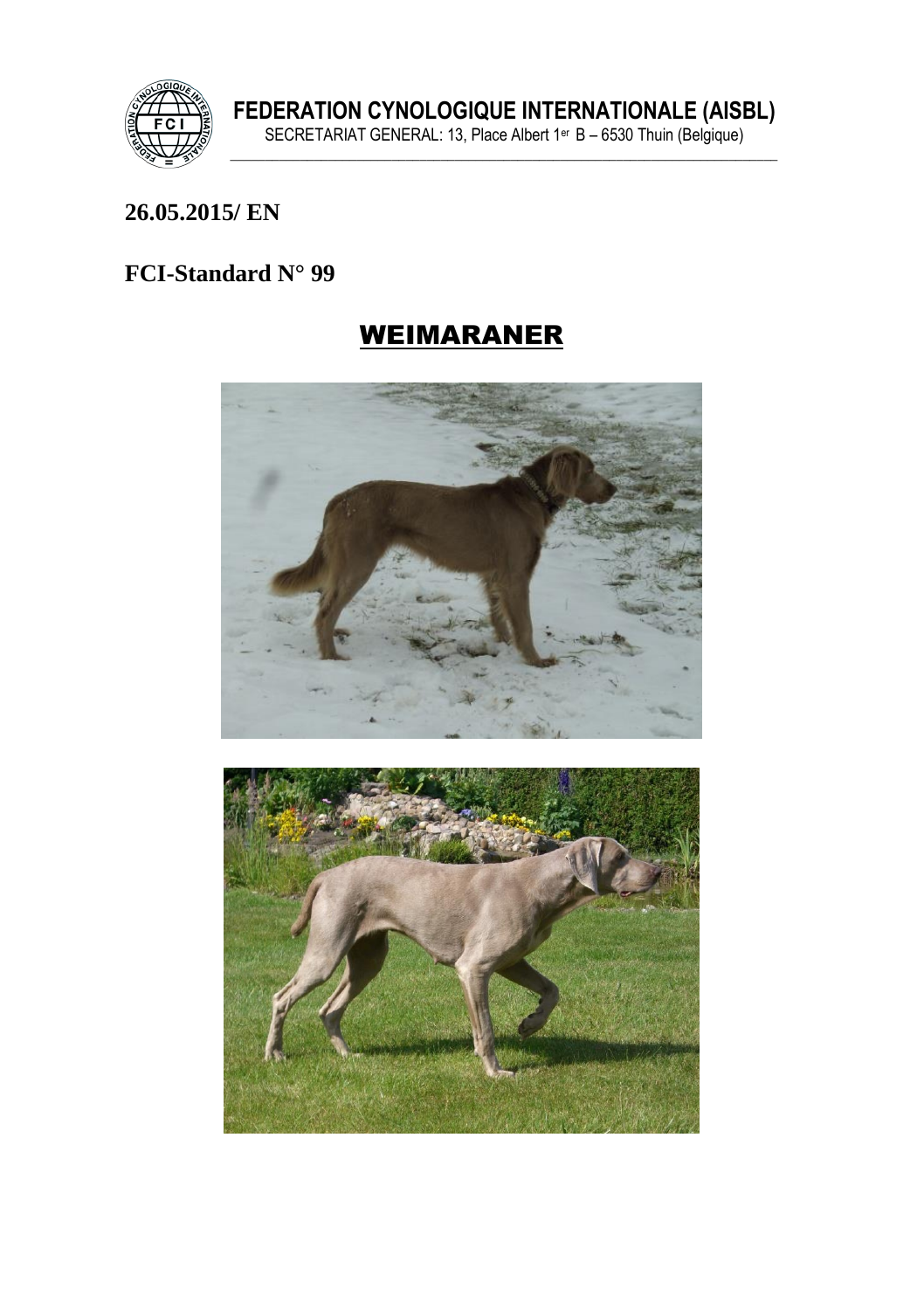

### **26.05.2015/ EN**

# **FCI-Standard N° 99**

# WEIMARANER



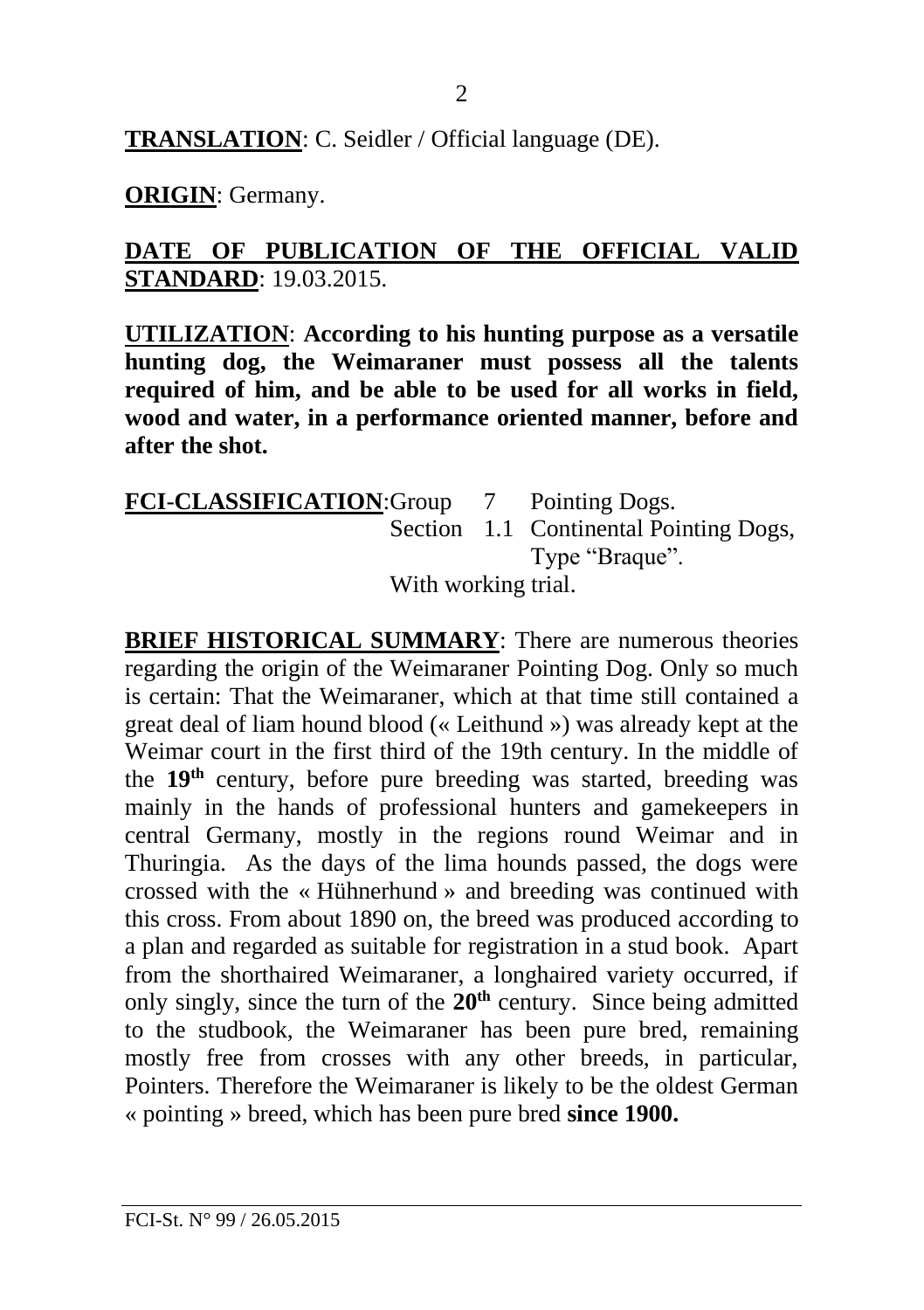**TRANSLATION**: C. Seidler / Official language (DE).

**ORIGIN**: Germany.

## **DATE OF PUBLICATION OF THE OFFICIAL VALID STANDARD**: 19.03.2015.

**UTILIZATION**: **According to his hunting purpose as a versatile hunting dog, the Weimaraner must possess all the talents required of him, and be able to be used for all works in field, wood and water, in a performance oriented manner, before and after the shot.**

**FCI**-**CLASSIFICATION**:Group 7 Pointing Dogs. Section 1.1 Continental Pointing Dogs, Type "Braque". With working trial.

**BRIEF HISTORICAL SUMMARY:** There are numerous theories regarding the origin of the Weimaraner Pointing Dog. Only so much is certain: That the Weimaraner, which at that time still contained a great deal of liam hound blood (« Leithund ») was already kept at the Weimar court in the first third of the 19th century. In the middle of the **19th** century, before pure breeding was started, breeding was mainly in the hands of professional hunters and gamekeepers in central Germany, mostly in the regions round Weimar and in Thuringia. As the days of the lima hounds passed, the dogs were crossed with the « Hühnerhund » and breeding was continued with this cross. From about 1890 on, the breed was produced according to a plan and regarded as suitable for registration in a stud book. Apart from the shorthaired Weimaraner, a longhaired variety occurred, if only singly, since the turn of the **20th** century. Since being admitted to the studbook, the Weimaraner has been pure bred, remaining mostly free from crosses with any other breeds, in particular, Pointers. Therefore the Weimaraner is likely to be the oldest German « pointing » breed, which has been pure bred **since 1900.**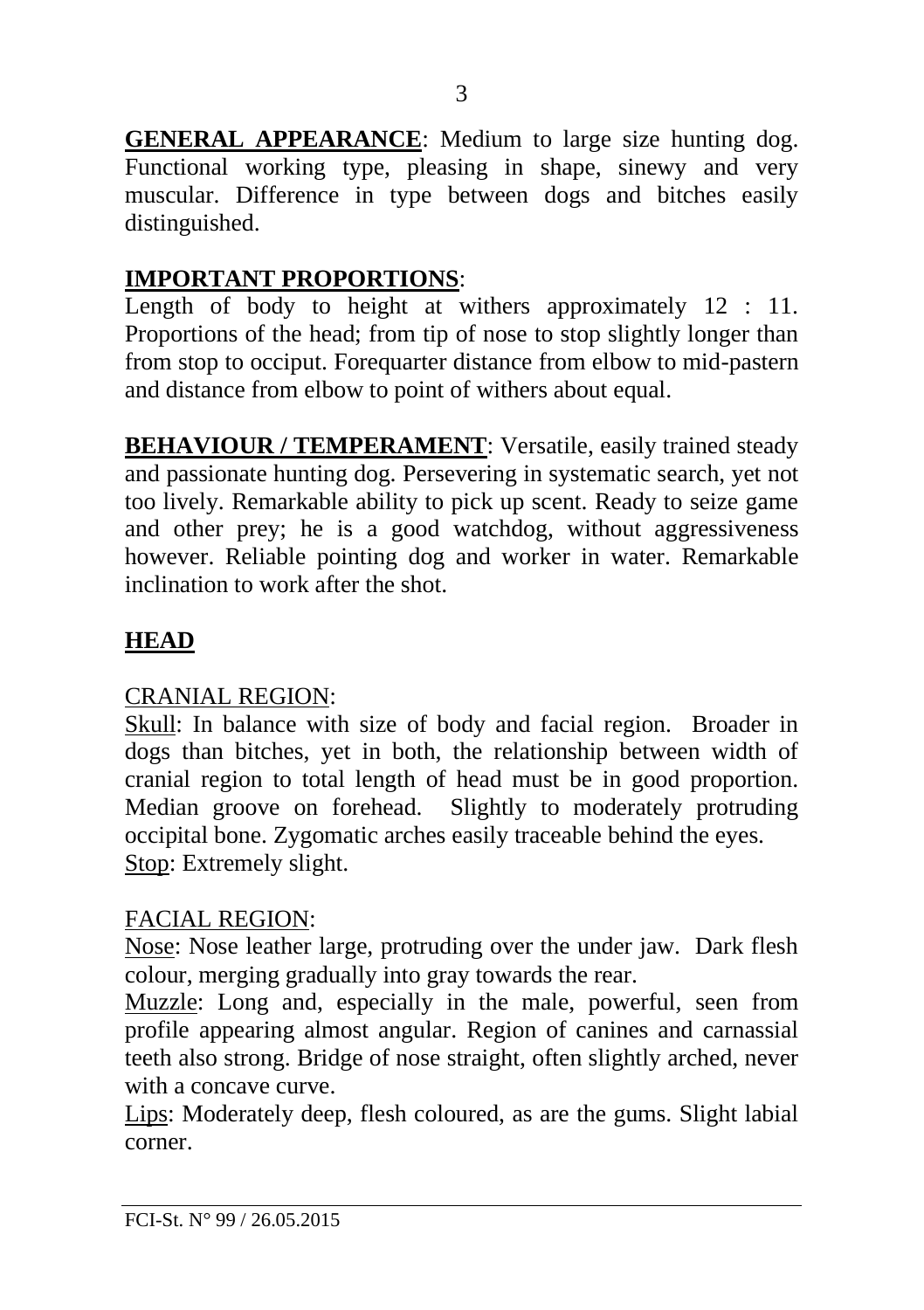**GENERAL APPEARANCE**: Medium to large size hunting dog. Functional working type, pleasing in shape, sinewy and very muscular. Difference in type between dogs and bitches easily distinguished.

### **IMPORTANT PROPORTIONS**:

Length of body to height at withers approximately 12 : 11. Proportions of the head; from tip of nose to stop slightly longer than from stop to occiput. Forequarter distance from elbow to mid-pastern and distance from elbow to point of withers about equal.

**BEHAVIOUR / TEMPERAMENT:** Versatile, easily trained steady and passionate hunting dog. Persevering in systematic search, yet not too lively. Remarkable ability to pick up scent. Ready to seize game and other prey; he is a good watchdog, without aggressiveness however. Reliable pointing dog and worker in water. Remarkable inclination to work after the shot.

# **HEAD**

# CRANIAL REGION:

Skull: In balance with size of body and facial region. Broader in dogs than bitches, yet in both, the relationship between width of cranial region to total length of head must be in good proportion. Median groove on forehead. Slightly to moderately protruding occipital bone. Zygomatic arches easily traceable behind the eyes. Stop: Extremely slight.

# FACIAL REGION:

Nose: Nose leather large, protruding over the under jaw. Dark flesh colour, merging gradually into gray towards the rear.

Muzzle: Long and, especially in the male, powerful, seen from profile appearing almost angular. Region of canines and carnassial teeth also strong. Bridge of nose straight, often slightly arched, never with a concave curve.

Lips: Moderately deep, flesh coloured, as are the gums. Slight labial corner.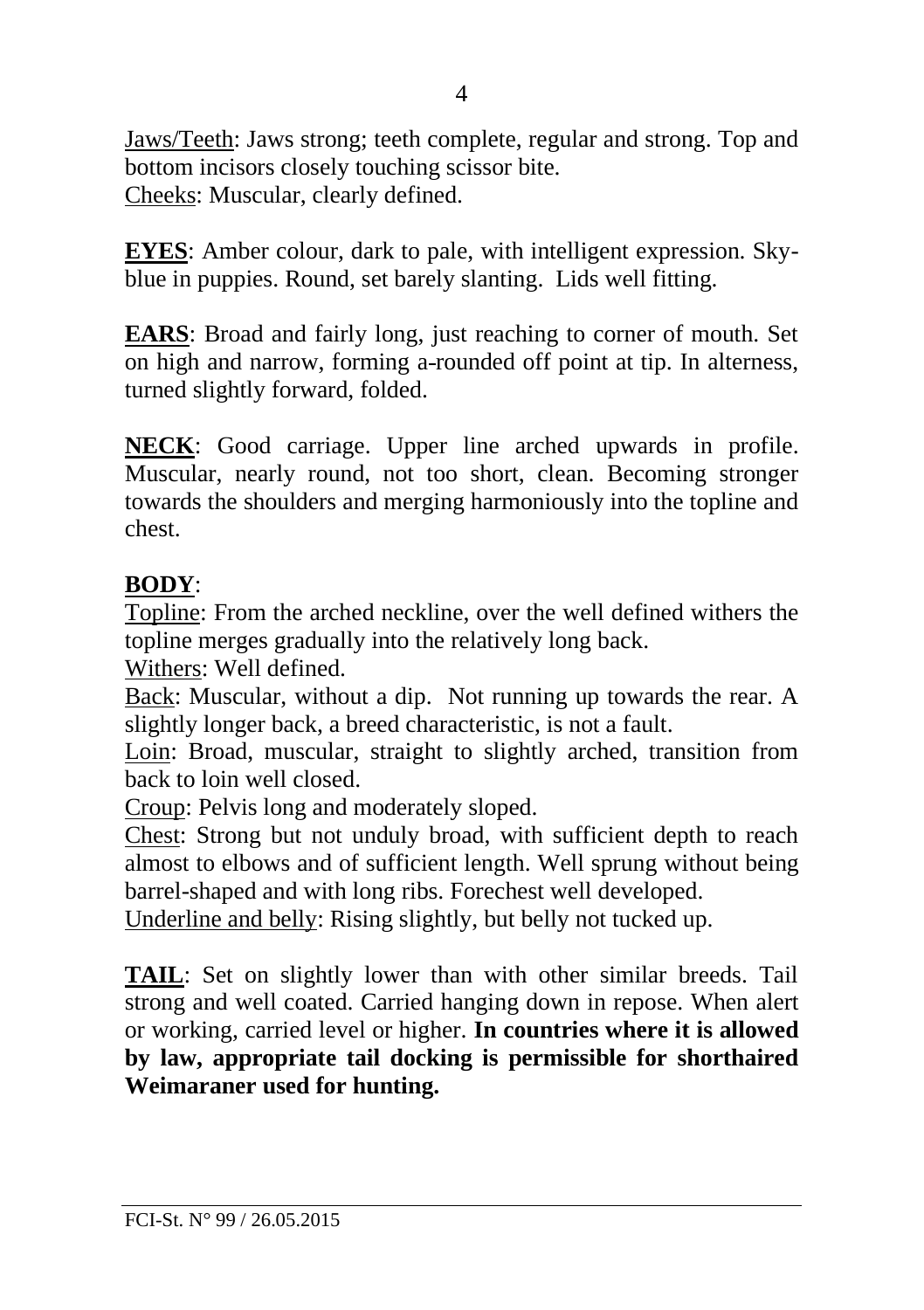Jaws/Teeth: Jaws strong; teeth complete, regular and strong. Top and bottom incisors closely touching scissor bite. Cheeks: Muscular, clearly defined.

**EYES**: Amber colour, dark to pale, with intelligent expression. Skyblue in puppies. Round, set barely slanting. Lids well fitting.

**EARS**: Broad and fairly long, just reaching to corner of mouth. Set on high and narrow, forming a rounded off point at tip. In alterness, turned slightly forward, folded.

**NECK**: Good carriage. Upper line arched upwards in profile. Muscular, nearly round, not too short, clean. Becoming stronger towards the shoulders and merging harmoniously into the topline and chest.

#### **BODY**:

Topline: From the arched neckline, over the well defined withers the topline merges gradually into the relatively long back.

Withers: Well defined.

Back: Muscular, without a dip. Not running up towards the rear. A slightly longer back, a breed characteristic, is not a fault.

Loin: Broad, muscular, straight to slightly arched, transition from back to loin well closed.

Croup: Pelvis long and moderately sloped.

Chest: Strong but not unduly broad, with sufficient depth to reach almost to elbows and of sufficient length. Well sprung without being barrel-shaped and with long ribs. Forechest well developed.

Underline and belly: Rising slightly, but belly not tucked up.

**TAIL**: Set on slightly lower than with other similar breeds. Tail strong and well coated. Carried hanging down in repose. When alert or working, carried level or higher. **In countries where it is allowed by law, appropriate tail docking is permissible for shorthaired Weimaraner used for hunting.**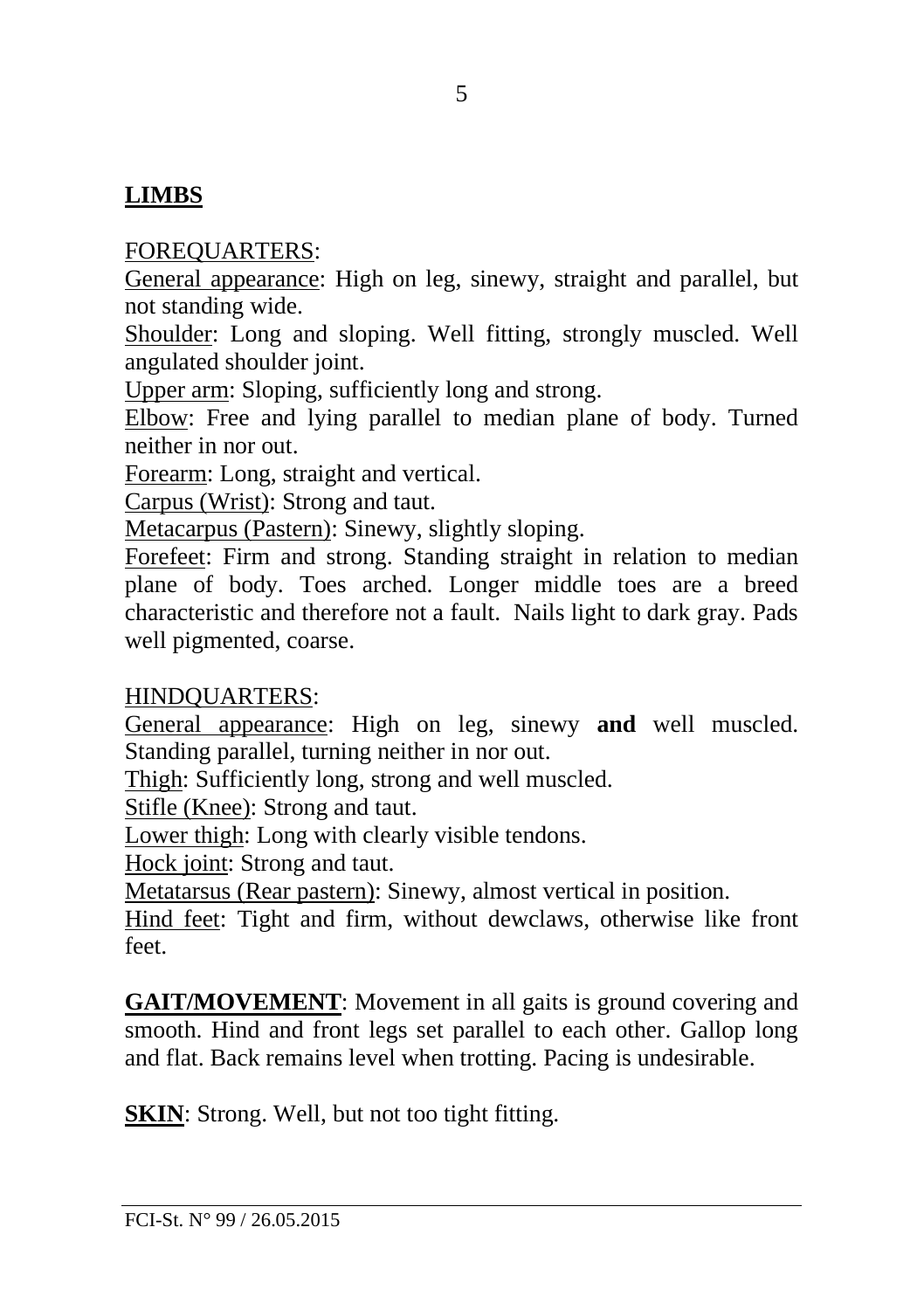# **LIMBS**

#### FOREQUARTERS:

General appearance: High on leg, sinewy, straight and parallel, but not standing wide.

Shoulder: Long and sloping. Well fitting, strongly muscled. Well angulated shoulder joint.

Upper arm: Sloping, sufficiently long and strong.

Elbow: Free and lying parallel to median plane of body. Turned neither in nor out.

Forearm: Long, straight and vertical.

Carpus (Wrist): Strong and taut.

Metacarpus (Pastern): Sinewy, slightly sloping.

Forefeet: Firm and strong. Standing straight in relation to median plane of body. Toes arched. Longer middle toes are a breed characteristic and therefore not a fault. Nails light to dark gray. Pads well pigmented, coarse.

#### HINDQUARTERS:

General appearance: High on leg, sinewy **and** well muscled. Standing parallel, turning neither in nor out.

Thigh: Sufficiently long, strong and well muscled.

Stifle (Knee): Strong and taut.

Lower thigh: Long with clearly visible tendons.

Hock joint: Strong and taut.

Metatarsus (Rear pastern): Sinewy, almost vertical in position.

Hind feet: Tight and firm, without dewclaws, otherwise like front feet.

**GAIT/MOVEMENT**: Movement in all gaits is ground covering and smooth. Hind and front legs set parallel to each other. Gallop long and flat. Back remains level when trotting. Pacing is undesirable.

**SKIN:** Strong. Well, but not too tight fitting.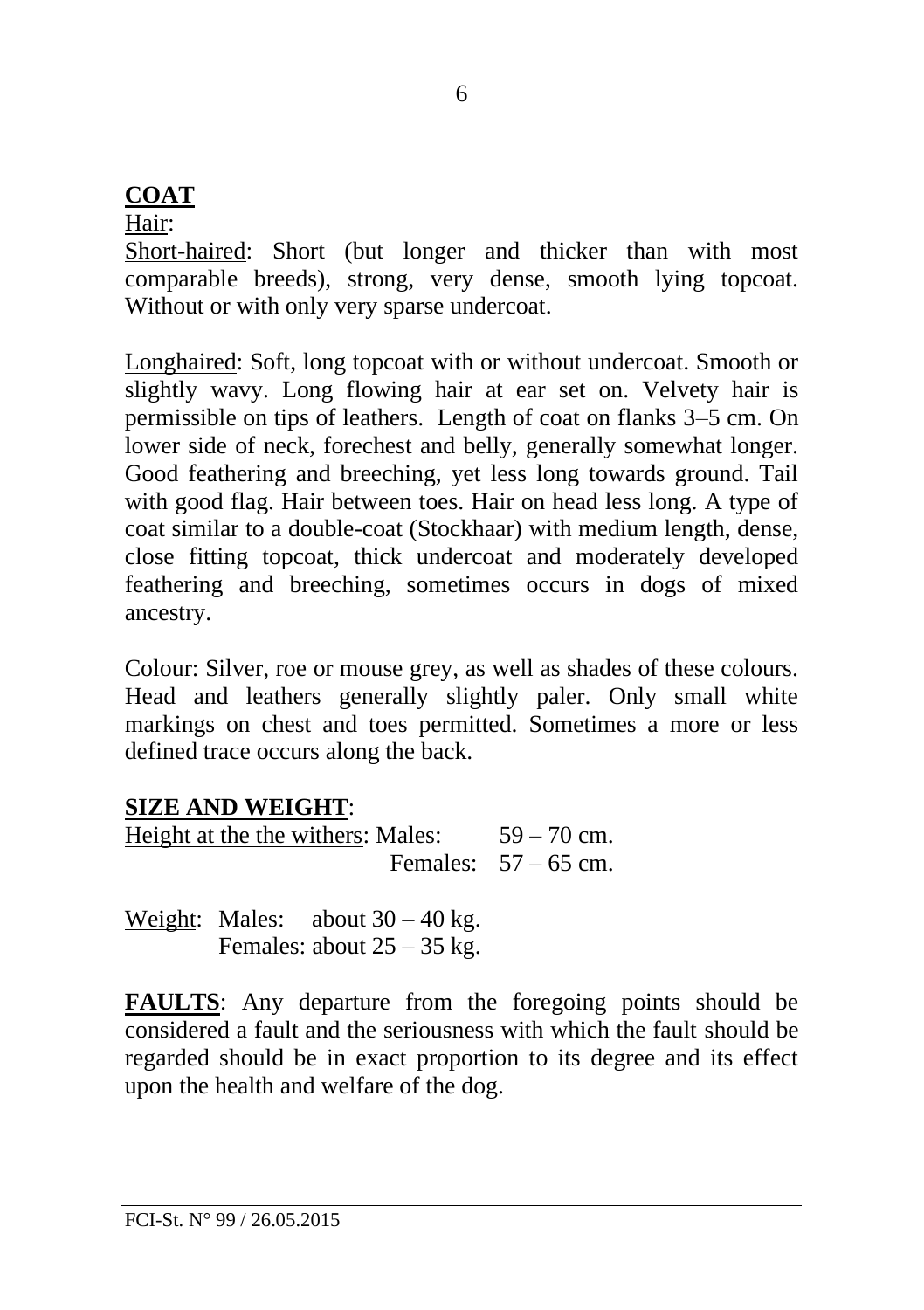# **COAT**

#### Hair:

Short-haired: Short (but longer and thicker than with most comparable breeds), strong, very dense, smooth lying topcoat. Without or with only very sparse undercoat.

Longhaired: Soft, long topcoat with or without undercoat. Smooth or slightly wavy. Long flowing hair at ear set on. Velvety hair is permissible on tips of leathers. Length of coat on flanks 3–5 cm. On lower side of neck, forechest and belly, generally somewhat longer. Good feathering and breeching, yet less long towards ground. Tail with good flag. Hair between toes. Hair on head less long. A type of coat similar to a double-coat (Stockhaar) with medium length, dense, close fitting topcoat, thick undercoat and moderately developed feathering and breeching, sometimes occurs in dogs of mixed ancestry.

Colour: Silver, roe or mouse grey, as well as shades of these colours. Head and leathers generally slightly paler. Only small white markings on chest and toes permitted. Sometimes a more or less defined trace occurs along the back.

# **SIZE AND WEIGHT**:

Height at the the withers: Males:  $59 - 70$  cm. Females:  $57 - 65$  cm.

Weight: Males: about  $30 - 40$  kg. Females: about  $25 - 35$  kg.

**FAULTS**: Any departure from the foregoing points should be considered a fault and the seriousness with which the fault should be regarded should be in exact proportion to its degree and its effect upon the health and welfare of the dog.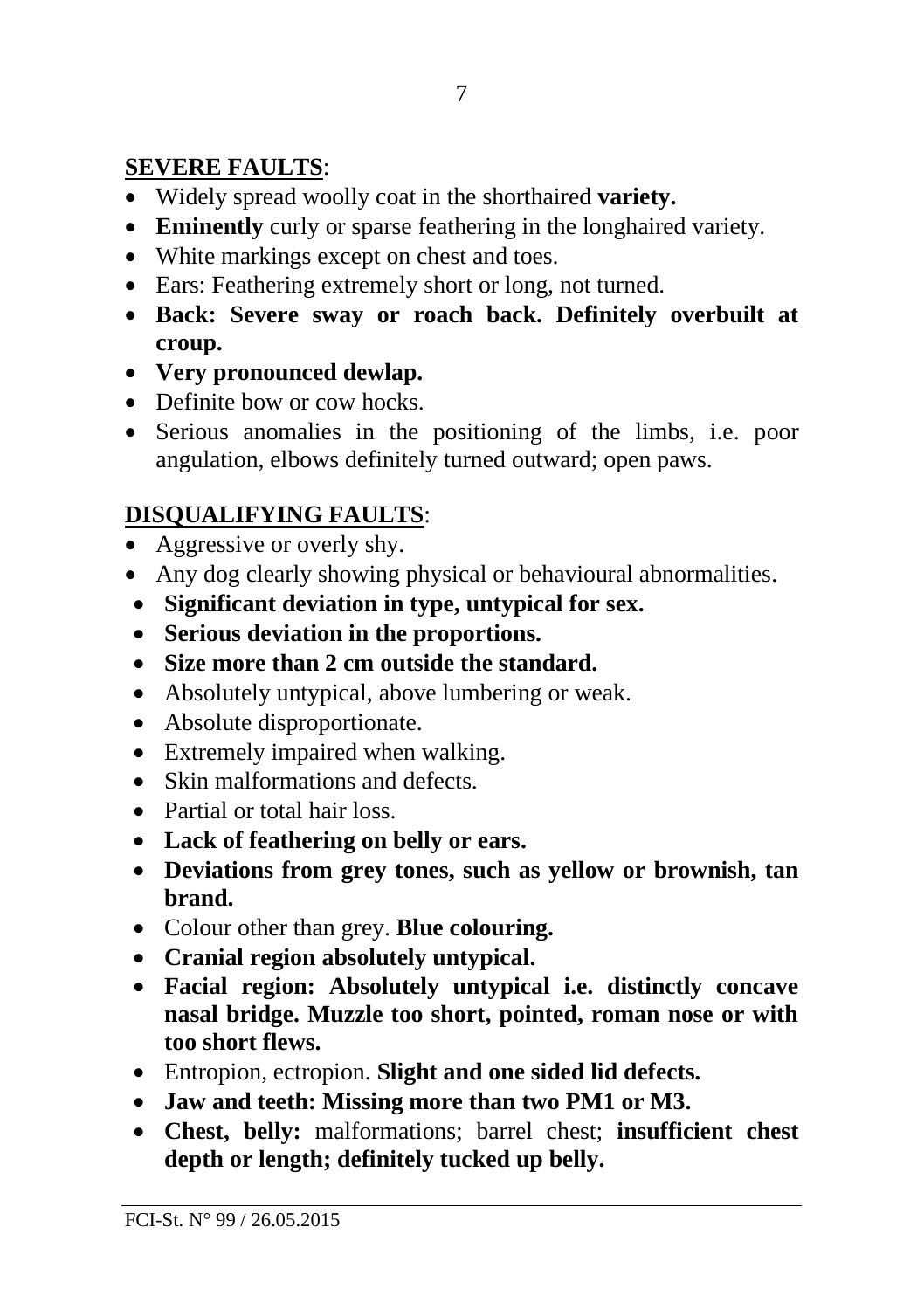# **SEVERE FAULTS**:

- Widely spread woolly coat in the shorthaired **variety.**
- **Eminently** curly or sparse feathering in the longhaired variety.
- White markings except on chest and toes.
- Ears: Feathering extremely short or long, not turned.
- **Back: Severe sway or roach back. Definitely overbuilt at croup.**
- **Very pronounced dewlap.**
- Definite bow or cow hocks.
- Serious anomalies in the positioning of the limbs, i.e. poor angulation, elbows definitely turned outward; open paws.

# **DISQUALIFYING FAULTS**:

- Aggressive or overly shy.
- Any dog clearly showing physical or behavioural abnormalities.
- **Significant deviation in type, untypical for sex.**
- **Serious deviation in the proportions.**
- **Size more than 2 cm outside the standard.**
- Absolutely untypical, above lumbering or weak.
- Absolute disproportionate.
- Extremely impaired when walking.
- Skin malformations and defects
- Partial or total hair loss.
- **Lack of feathering on belly or ears.**
- **Deviations from grey tones, such as yellow or brownish, tan brand.**
- Colour other than grey. **Blue colouring.**
- **Cranial region absolutely untypical.**
- **Facial region: Absolutely untypical i.e. distinctly concave nasal bridge. Muzzle too short, pointed, roman nose or with too short flews.**
- Entropion, ectropion. **Slight and one sided lid defects.**
- **Jaw and teeth: Missing more than two PM1 or M3.**
- **Chest, belly:** malformations; barrel chest; **insufficient chest depth or length; definitely tucked up belly.**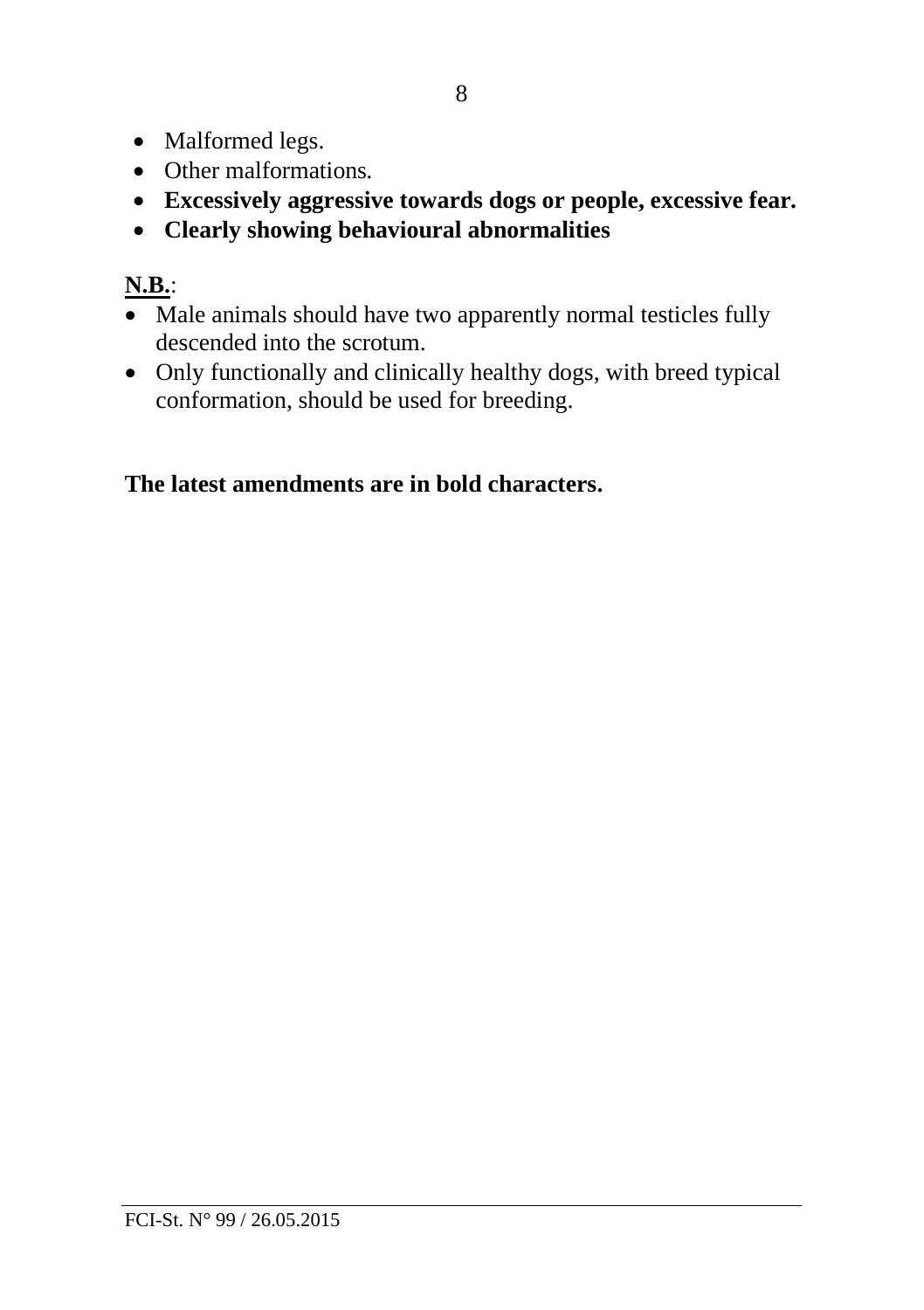- Malformed legs.
- Other malformations*.*
- **Excessively aggressive towards dogs or people, excessive fear***.*
- **Clearly showing behavioural abnormalities**

# **N.B.**:

- Male animals should have two apparently normal testicles fully descended into the scrotum.
- Only functionally and clinically healthy dogs, with breed typical conformation, should be used for breeding.

# **The latest amendments are in bold characters.**